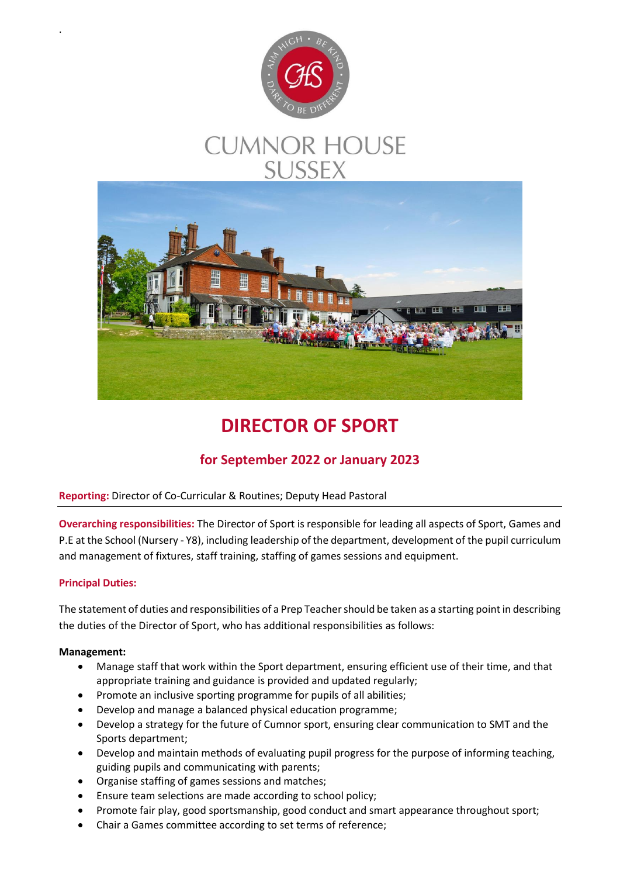

# **CUMNOR HOUSE SUSSEX**



# **DIRECTOR OF SPORT**

# **for September 2022 or January 2023**

# **Reporting:** Director of Co-Curricular & Routines; Deputy Head Pastoral

**Overarching responsibilities:** The Director of Sport is responsible for leading all aspects of Sport, Games and P.E at the School (Nursery - Y8), including leadership of the department, development of the pupil curriculum and management of fixtures, staff training, staffing of games sessions and equipment.

# **Principal Duties:**

.

The statement of duties and responsibilities of a Prep Teacher should be taken as a starting point in describing the duties of the Director of Sport, who has additional responsibilities as follows:

# **Management:**

- Manage staff that work within the Sport department, ensuring efficient use of their time, and that appropriate training and guidance is provided and updated regularly;
- Promote an inclusive sporting programme for pupils of all abilities;
- Develop and manage a balanced physical education programme;
- Develop a strategy for the future of Cumnor sport, ensuring clear communication to SMT and the Sports department;
- Develop and maintain methods of evaluating pupil progress for the purpose of informing teaching, guiding pupils and communicating with parents;
- Organise staffing of games sessions and matches;
- Ensure team selections are made according to school policy;
- Promote fair play, good sportsmanship, good conduct and smart appearance throughout sport;
- Chair a Games committee according to set terms of reference;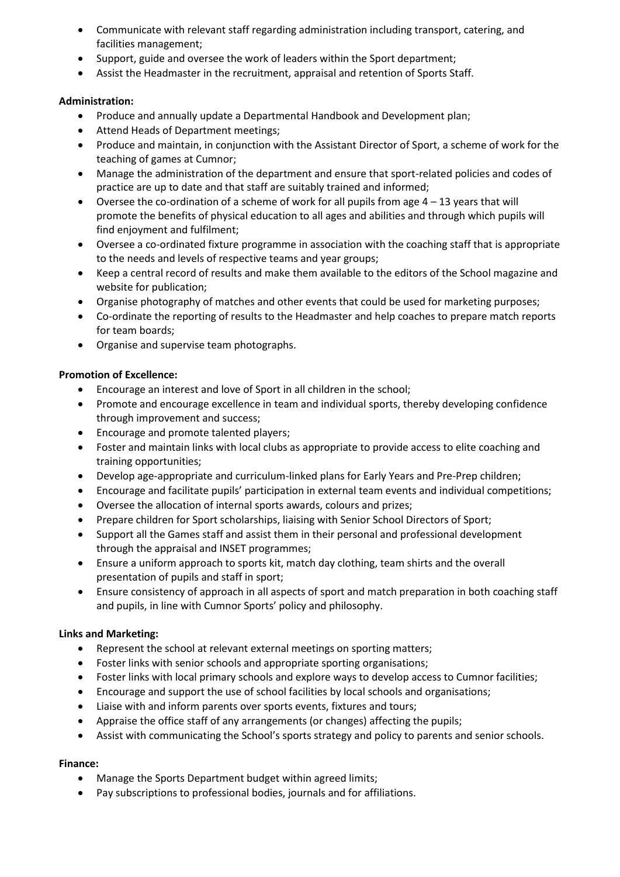- Communicate with relevant staff regarding administration including transport, catering, and facilities management;
- Support, guide and oversee the work of leaders within the Sport department;
- Assist the Headmaster in the recruitment, appraisal and retention of Sports Staff.

### **Administration:**

- Produce and annually update a Departmental Handbook and Development plan;
- Attend Heads of Department meetings;
- Produce and maintain, in conjunction with the Assistant Director of Sport, a scheme of work for the teaching of games at Cumnor;
- Manage the administration of the department and ensure that sport-related policies and codes of practice are up to date and that staff are suitably trained and informed;
- $\bullet$  Oversee the co-ordination of a scheme of work for all pupils from age  $4 13$  years that will promote the benefits of physical education to all ages and abilities and through which pupils will find enjoyment and fulfilment;
- Oversee a co-ordinated fixture programme in association with the coaching staff that is appropriate to the needs and levels of respective teams and year groups;
- Keep a central record of results and make them available to the editors of the School magazine and website for publication;
- Organise photography of matches and other events that could be used for marketing purposes;
- Co-ordinate the reporting of results to the Headmaster and help coaches to prepare match reports for team boards;
- Organise and supervise team photographs.

### **Promotion of Excellence:**

- Encourage an interest and love of Sport in all children in the school;
- Promote and encourage excellence in team and individual sports, thereby developing confidence through improvement and success;
- Encourage and promote talented players;
- Foster and maintain links with local clubs as appropriate to provide access to elite coaching and training opportunities;
- Develop age-appropriate and curriculum-linked plans for Early Years and Pre-Prep children;
- Encourage and facilitate pupils' participation in external team events and individual competitions;
- Oversee the allocation of internal sports awards, colours and prizes;
- Prepare children for Sport scholarships, liaising with Senior School Directors of Sport;
- Support all the Games staff and assist them in their personal and professional development through the appraisal and INSET programmes;
- Ensure a uniform approach to sports kit, match day clothing, team shirts and the overall presentation of pupils and staff in sport;
- Ensure consistency of approach in all aspects of sport and match preparation in both coaching staff and pupils, in line with Cumnor Sports' policy and philosophy.

### **Links and Marketing:**

- Represent the school at relevant external meetings on sporting matters;
- Foster links with senior schools and appropriate sporting organisations;
- Foster links with local primary schools and explore ways to develop access to Cumnor facilities;
- Encourage and support the use of school facilities by local schools and organisations;
- Liaise with and inform parents over sports events, fixtures and tours;
- Appraise the office staff of any arrangements (or changes) affecting the pupils;
- Assist with communicating the School's sports strategy and policy to parents and senior schools.

### **Finance:**

- Manage the Sports Department budget within agreed limits;
- Pay subscriptions to professional bodies, journals and for affiliations.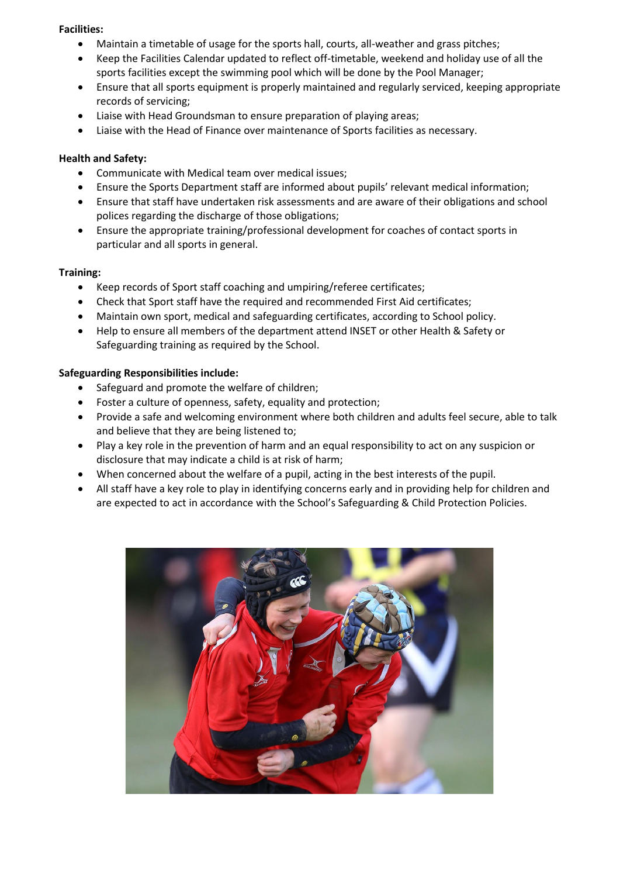#### **Facilities:**

- Maintain a timetable of usage for the sports hall, courts, all-weather and grass pitches;
- Keep the Facilities Calendar updated to reflect off-timetable, weekend and holiday use of all the sports facilities except the swimming pool which will be done by the Pool Manager;
- Ensure that all sports equipment is properly maintained and regularly serviced, keeping appropriate records of servicing;
- Liaise with Head Groundsman to ensure preparation of playing areas;
- Liaise with the Head of Finance over maintenance of Sports facilities as necessary.

#### **Health and Safety:**

- Communicate with Medical team over medical issues;
- Ensure the Sports Department staff are informed about pupils' relevant medical information;
- Ensure that staff have undertaken risk assessments and are aware of their obligations and school polices regarding the discharge of those obligations;
- Ensure the appropriate training/professional development for coaches of contact sports in particular and all sports in general.

#### **Training:**

- Keep records of Sport staff coaching and umpiring/referee certificates;
- Check that Sport staff have the required and recommended First Aid certificates;
- Maintain own sport, medical and safeguarding certificates, according to School policy.
- Help to ensure all members of the department attend INSET or other Health & Safety or Safeguarding training as required by the School.

#### **Safeguarding Responsibilities include:**

- Safeguard and promote the welfare of children;
- Foster a culture of openness, safety, equality and protection;
- Provide a safe and welcoming environment where both children and adults feel secure, able to talk and believe that they are being listened to;
- Play a key role in the prevention of harm and an equal responsibility to act on any suspicion or disclosure that may indicate a child is at risk of harm;
- When concerned about the welfare of a pupil, acting in the best interests of the pupil.
- All staff have a key role to play in identifying concerns early and in providing help for children and are expected to act in accordance with the School's Safeguarding & Child Protection Policies.